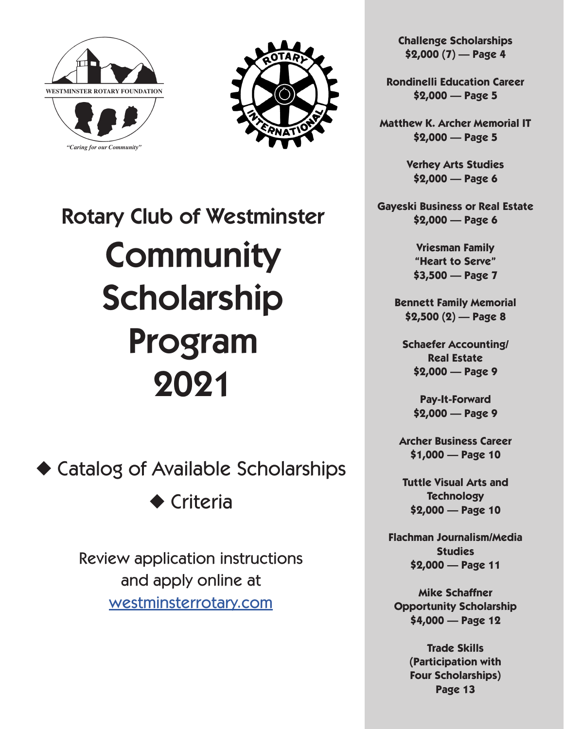



# Rotary Club of Westminster **Community** Scholarship Program 2021

◆ Catalog of Available Scholarships

◆ Criteria

Review application instructions and apply online at [westminsterrotary.com](http://westminsterrotary.com)

**Challenge Scholarships \$2,000 (7) — Page 4**

**Rondinelli Education Career \$2,000 — Page 5**

**Matthew K. Archer Memorial IT \$2,000 — Page 5**

> **Verhey Arts Studies \$2,000 — Page 6**

**Gayeski Business or Real Estate \$2,000 — Page 6**

> **Vriesman Family "Heart to Serve" \$3,500 — Page 7**

**Bennett Family Memorial \$2,500 (2) — Page 8**

**Schaefer Accounting/ Real Estate \$2,000 — Page 9**

> **Pay-It-Forward \$2,000 — Page 9**

**Archer Business Career \$1,000 — Page 10**

**Tuttle Visual Arts and Technology \$2,000 — Page 10**

**Flachman Journalism/Media Studies \$2,000 — Page 11**

**Mike Schaffner Opportunity Scholarship \$4,000 — Page 12**

> **Trade Skills (Participation with Four Scholarships) Page 13**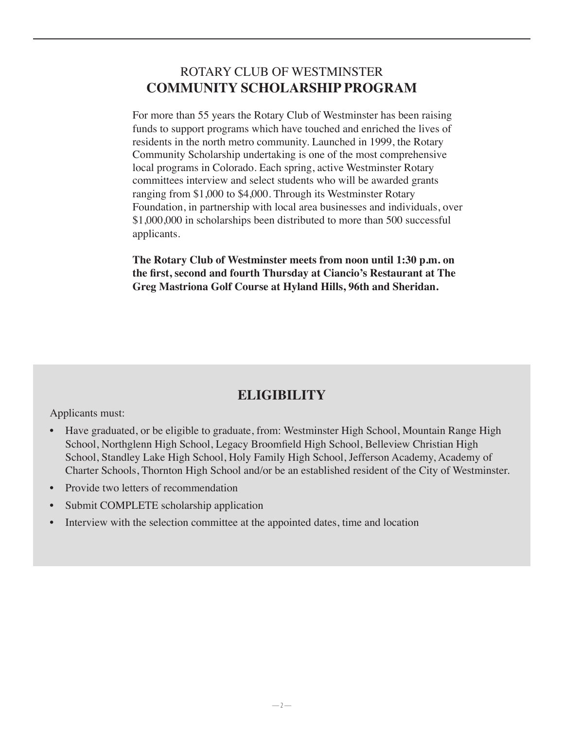#### ROTARY CLUB OF WESTMINSTER **COMMUNITY SCHOLARSHIP PROGRAM**

For more than 55 years the Rotary Club of Westminster has been raising funds to support programs which have touched and enriched the lives of residents in the north metro community. Launched in 1999, the Rotary Community Scholarship undertaking is one of the most comprehensive local programs in Colorado. Each spring, active Westminster Rotary committees interview and select students who will be awarded grants ranging from \$1,000 to \$4,000. Through its Westminster Rotary Foundation, in partnership with local area businesses and individuals, over \$1,000,000 in scholarships been distributed to more than 500 successful applicants.

**The Rotary Club of Westminster meets from noon until 1:30 p.m. on the first, second and fourth Thursday at Ciancio's Restaurant at The Greg Mastriona Golf Course at Hyland Hills, 96th and Sheridan.**

### **ELIGIBILITY**

Applicants must:

- Have graduated, or be eligible to graduate, from: Westminster High School, Mountain Range High School, Northglenn High School, Legacy Broomfield High School, Belleview Christian High School, Standley Lake High School, Holy Family High School, Jefferson Academy, Academy of Charter Schools, Thornton High School and/or be an established resident of the City of Westminster.
- Provide two letters of recommendation
- Submit COMPLETE scholarship application
- Interview with the selection committee at the appointed dates, time and location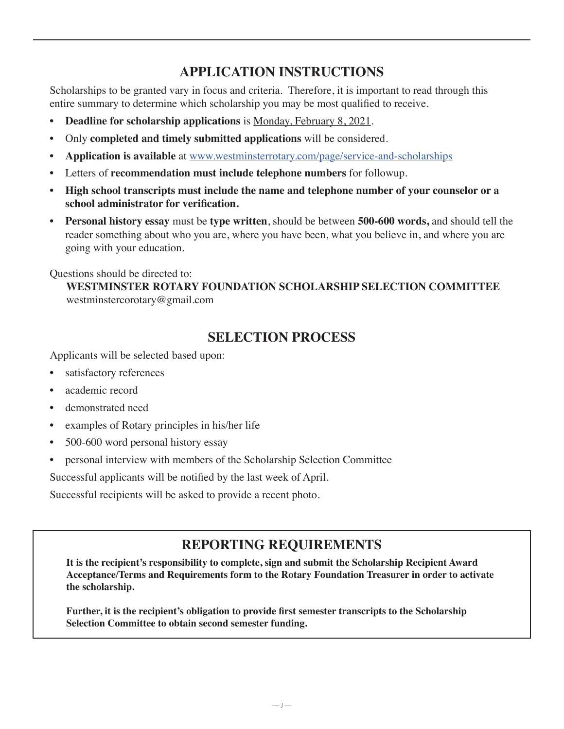### **APPLICATION INSTRUCTIONS**

Scholarships to be granted vary in focus and criteria. Therefore, it is important to read through this entire summary to determine which scholarship you may be most qualified to receive.

- **Deadline for scholarship applications** is Monday, February 8, 2021.
- Only **completed and timely submitted applications** will be considered.
- **Application is available** at [www.westminsterrotary.com/page/service-and-scholarships](https://www.westminsterrotary.com/page/service-and-scholarships)
- Letters of **recommendation must include telephone numbers** for followup.
- **High school transcripts must include the name and telephone number of your counselor or a school administrator for verification.**
- **Personal history essay** must be **type written**, should be between **500-600 words,** and should tell the reader something about who you are, where you have been, what you believe in, and where you are going with your education.

Questions should be directed to:

**WESTMINSTER ROTARY FOUNDATION SCHOLARSHIP SELECTION COMMITTEE** westminstercorotary@gmail.com

### **SELECTION PROCESS**

Applicants will be selected based upon:

- satisfactory references
- academic record
- demonstrated need
- examples of Rotary principles in his/her life
- 500-600 word personal history essay
- personal interview with members of the Scholarship Selection Committee

Successful applicants will be notified by the last week of April.

Successful recipients will be asked to provide a recent photo.

### **REPORTING REQUIREMENTS**

**It is the recipient's responsibility to complete, sign and submit the Scholarship Recipient Award Acceptance/Terms and Requirements form to the Rotary Foundation Treasurer in order to activate the scholarship.**

**Further, it is the recipient's obligation to provide first semester transcripts to the Scholarship Selection Committee to obtain second semester funding.**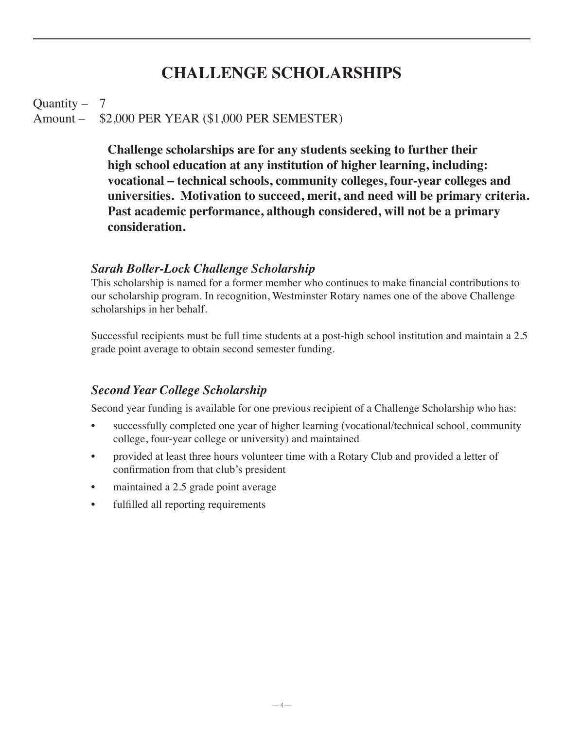### **CHALLENGE SCHOLARSHIPS**

#### Quantity  $-7$ Amount – \$2,000 PER YEAR (\$1,000 PER SEMESTER)

**Challenge scholarships are for any students seeking to further their high school education at any institution of higher learning, including: vocational – technical schools, community colleges, four-year colleges and universities. Motivation to succeed, merit, and need will be primary criteria. Past academic performance, although considered, will not be a primary consideration.** 

#### *Sarah Boller-Lock Challenge Scholarship*

This scholarship is named for a former member who continues to make financial contributions to our scholarship program. In recognition, Westminster Rotary names one of the above Challenge scholarships in her behalf.

Successful recipients must be full time students at a post-high school institution and maintain a 2.5 grade point average to obtain second semester funding.

#### *Second Year College Scholarship*

Second year funding is available for one previous recipient of a Challenge Scholarship who has:

- successfully completed one year of higher learning (vocational/technical school, community college, four-year college or university) and maintained
- provided at least three hours volunteer time with a Rotary Club and provided a letter of confirmation from that club's president
- maintained a 2.5 grade point average
- fulfilled all reporting requirements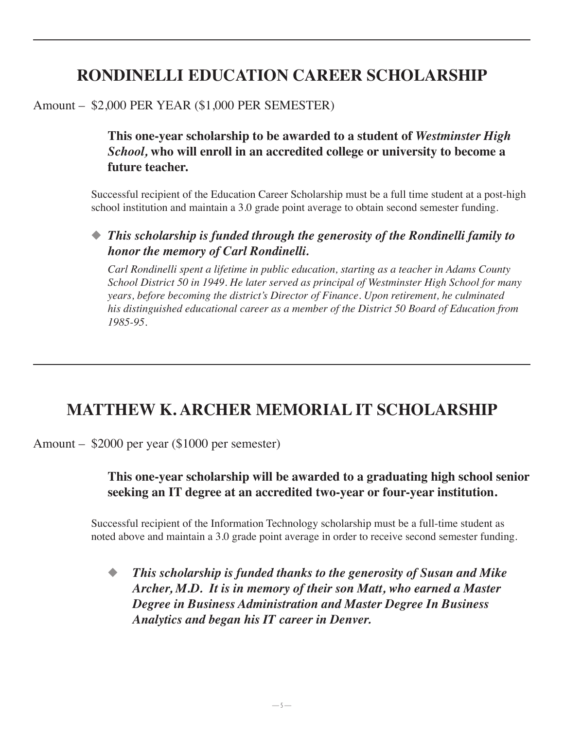# **RONDINELLI EDUCATION CAREER SCHOLARSHIP**

### Amount – \$2,000 PER YEAR (\$1,000 PER SEMESTER)

**This one-year scholarship to be awarded to a student of** *Westminster High School,* **who will enroll in an accredited college or university to become a future teacher.**

Successful recipient of the Education Career Scholarship must be a full time student at a post-high school institution and maintain a 3.0 grade point average to obtain second semester funding.

◆ *This scholarship is funded through the generosity of the Rondinelli family to honor the memory of Carl Rondinelli.*

*Carl Rondinelli spent a lifetime in public education, starting as a teacher in Adams County School District 50 in 1949. He later served as principal of Westminster High School for many years, before becoming the district's Director of Finance. Upon retirement, he culminated his distinguished educational career as a member of the District 50 Board of Education from 1985-95.*

# **MATTHEW K. ARCHER MEMORIAL IT SCHOLARSHIP**

Amount – \$2000 per year (\$1000 per semester)

#### **This one-year scholarship will be awarded to a graduating high school senior seeking an IT degree at an accredited two-year or four-year institution.**

Successful recipient of the Information Technology scholarship must be a full-time student as noted above and maintain a 3.0 grade point average in order to receive second semester funding.

◆ *This scholarship is funded thanks to the generosity of Susan and Mike Archer, M.D. It is in memory of their son Matt, who earned a Master Degree in Business Administration and Master Degree In Business Analytics and began his IT career in Denver.*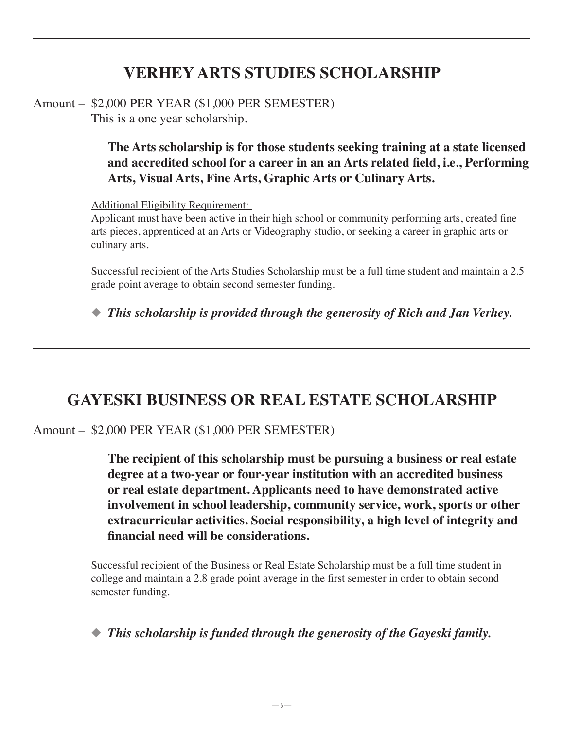# **VERHEY ARTS STUDIES SCHOLARSHIP**

Amount – \$2,000 PER YEAR (\$1,000 PER SEMESTER) This is a one year scholarship.

> **The Arts scholarship is for those students seeking training at a state licensed and accredited school for a career in an an Arts related field, i.e., Performing Arts, Visual Arts, Fine Arts, Graphic Arts or Culinary Arts.**

Additional Eligibility Requirement:

Applicant must have been active in their high school or community performing arts, created fine arts pieces, apprenticed at an Arts or Videography studio, or seeking a career in graphic arts or culinary arts.

Successful recipient of the Arts Studies Scholarship must be a full time student and maintain a 2.5 grade point average to obtain second semester funding.

◆ *This scholarship is provided through the generosity of Rich and Jan Verhey.* 

### **GAYESKI BUSINESS OR REAL ESTATE SCHOLARSHIP**

Amount – \$2,000 PER YEAR (\$1,000 PER SEMESTER)

**The recipient of this scholarship must be pursuing a business or real estate degree at a two-year or four-year institution with an accredited business or real estate department. Applicants need to have demonstrated active involvement in school leadership, community service, work, sports or other extracurricular activities. Social responsibility, a high level of integrity and financial need will be considerations.**

Successful recipient of the Business or Real Estate Scholarship must be a full time student in college and maintain a 2.8 grade point average in the first semester in order to obtain second semester funding.

◆ *This scholarship is funded through the generosity of the Gayeski family.*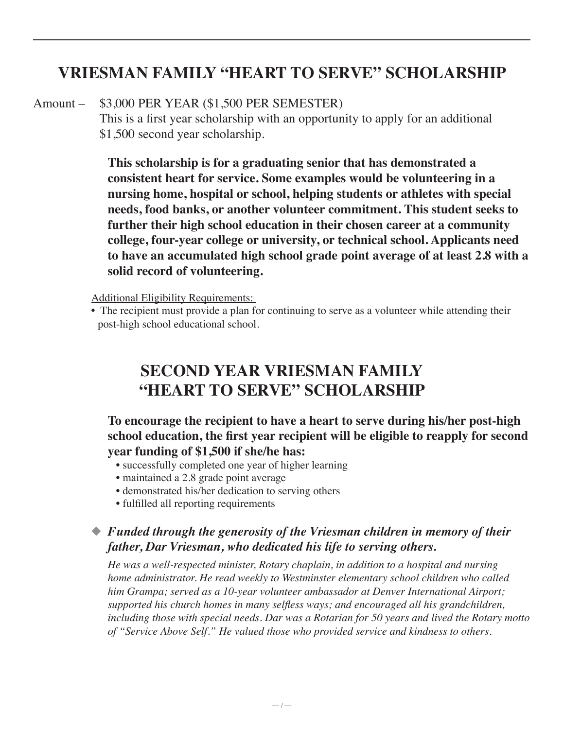### **VRIESMAN FAMILY "HEART TO SERVE" SCHOLARSHIP**

#### Amount – \$3,000 PER YEAR (\$1,500 PER SEMESTER)

This is a first year scholarship with an opportunity to apply for an additional \$1,500 second year scholarship.

**This scholarship is for a graduating senior that has demonstrated a consistent heart for service. Some examples would be volunteering in a nursing home, hospital or school, helping students or athletes with special needs, food banks, or another volunteer commitment. This student seeks to further their high school education in their chosen career at a community college, four-year college or university, or technical school. Applicants need to have an accumulated high school grade point average of at least 2.8 with a solid record of volunteering.**

Additional Eligibility Requirements:

• The recipient must provide a plan for continuing to serve as a volunteer while attending their post-high school educational school.

# **SECOND YEAR VRIESMAN FAMILY "HEART TO SERVE" SCHOLARSHIP**

**To encourage the recipient to have a heart to serve during his/her post-high school education, the first year recipient will be eligible to reapply for second year funding of \$1,500 if she/he has:**

- successfully completed one year of higher learning
- maintained a 2.8 grade point average
- demonstrated his/her dedication to serving others
- fulfilled all reporting requirements

#### ◆ *Funded through the generosity of the Vriesman children in memory of their father, Dar Vriesman, who dedicated his life to serving others.*

*He was a well-respected minister, Rotary chaplain, in addition to a hospital and nursing home administrator. He read weekly to Westminster elementary school children who called him Grampa; served as a 10-year volunteer ambassador at Denver International Airport; supported his church homes in many selfless ways; and encouraged all his grandchildren, including those with special needs. Dar was a Rotarian for 50 years and lived the Rotary motto of "Service Above Self." He valued those who provided service and kindness to others.*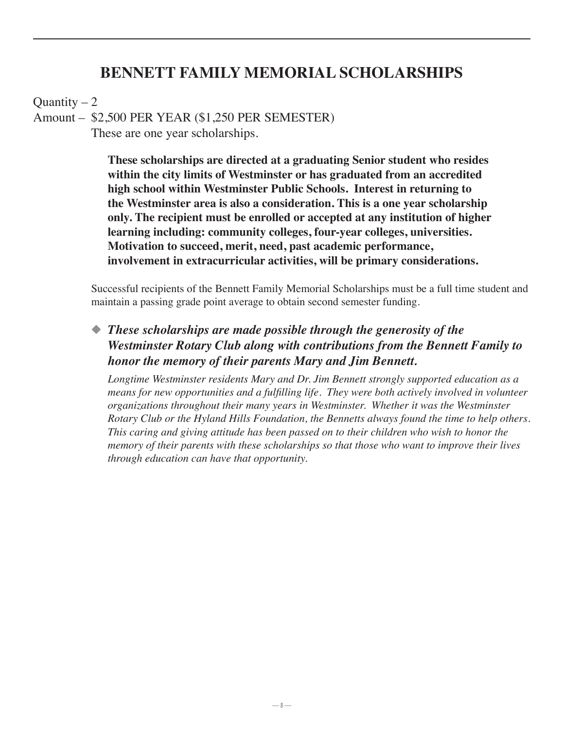### **BENNETT FAMILY MEMORIAL SCHOLARSHIPS**

Quantity  $-2$ 

Amount – \$2,500 PER YEAR (\$1,250 PER SEMESTER)

These are one year scholarships.

**These scholarships are directed at a graduating Senior student who resides within the city limits of Westminster or has graduated from an accredited high school within Westminster Public Schools. Interest in returning to the Westminster area is also a consideration. This is a one year scholarship only. The recipient must be enrolled or accepted at any institution of higher learning including: community colleges, four-year colleges, universities. Motivation to succeed, merit, need, past academic performance, involvement in extracurricular activities, will be primary considerations.**

Successful recipients of the Bennett Family Memorial Scholarships must be a full time student and maintain a passing grade point average to obtain second semester funding.

◆ *These scholarships are made possible through the generosity of the Westminster Rotary Club along with contributions from the Bennett Family to honor the memory of their parents Mary and Jim Bennett.*

*Longtime Westminster residents Mary and Dr. Jim Bennett strongly supported education as a means for new opportunities and a fulfilling life. They were both actively involved in volunteer organizations throughout their many years in Westminster. Whether it was the Westminster Rotary Club or the Hyland Hills Foundation, the Bennetts always found the time to help others. This caring and giving attitude has been passed on to their children who wish to honor the memory of their parents with these scholarships so that those who want to improve their lives through education can have that opportunity.*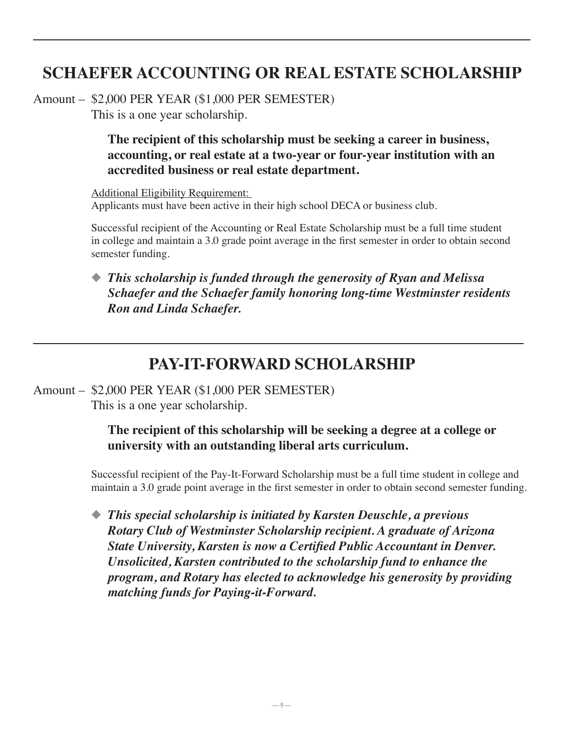# **SCHAEFER ACCOUNTING OR REAL ESTATE SCHOLARSHIP**

Amount – \$2,000 PER YEAR (\$1,000 PER SEMESTER) This is a one year scholarship.

> **The recipient of this scholarship must be seeking a career in business, accounting, or real estate at a two-year or four-year institution with an accredited business or real estate department.**

Additional Eligibility Requirement: Applicants must have been active in their high school DECA or business club.

Successful recipient of the Accounting or Real Estate Scholarship must be a full time student in college and maintain a 3.0 grade point average in the first semester in order to obtain second semester funding.

#### ◆ *This scholarship is funded through the generosity of Ryan and Melissa Schaefer and the Schaefer family honoring long-time Westminster residents Ron and Linda Schaefer.*

### **PAY-IT-FORWARD SCHOLARSHIP**

Amount – \$2,000 PER YEAR (\$1,000 PER SEMESTER) This is a one year scholarship.

### **The recipient of this scholarship will be seeking a degree at a college or university with an outstanding liberal arts curriculum.**

Successful recipient of the Pay-It-Forward Scholarship must be a full time student in college and maintain a 3.0 grade point average in the first semester in order to obtain second semester funding.

◆ *This special scholarship is initiated by Karsten Deuschle, a previous Rotary Club of Westminster Scholarship recipient. A graduate of Arizona State University, Karsten is now a Certified Public Accountant in Denver. Unsolicited, Karsten contributed to the scholarship fund to enhance the program, and Rotary has elected to acknowledge his generosity by providing matching funds for Paying-it-Forward.*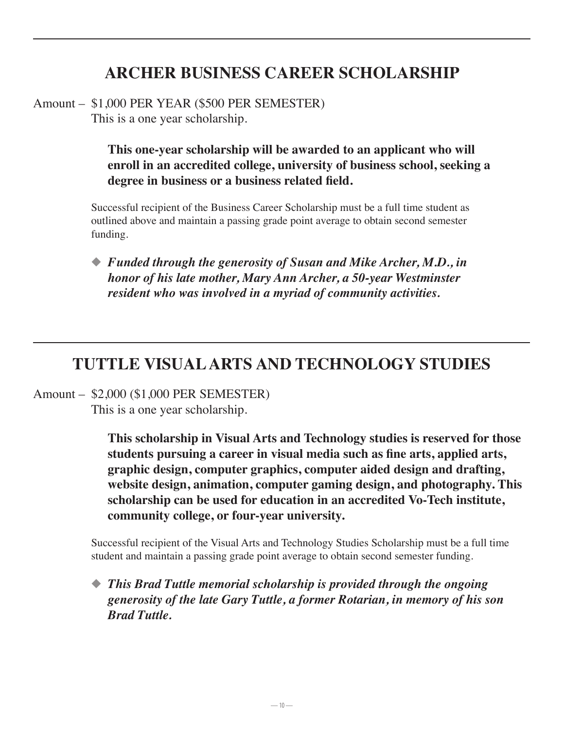# **ARCHER BUSINESS CAREER SCHOLARSHIP**

Amount – \$1,000 PER YEAR (\$500 PER SEMESTER) This is a one year scholarship.

> **This one-year scholarship will be awarded to an applicant who will enroll in an accredited college, university of business school, seeking a degree in business or a business related field.**

Successful recipient of the Business Career Scholarship must be a full time student as outlined above and maintain a passing grade point average to obtain second semester funding.

◆ *Funded through the generosity of Susan and Mike Archer, M.D., in honor of his late mother, Mary Ann Archer, a 50-year Westminster resident who was involved in a myriad of community activities.*

### **TUTTLE VISUAL ARTS AND TECHNOLOGY STUDIES**

Amount – \$2,000 (\$1,000 PER SEMESTER) This is a one year scholarship.

> **This scholarship in Visual Arts and Technology studies is reserved for those students pursuing a career in visual media such as fine arts, applied arts, graphic design, computer graphics, computer aided design and drafting, website design, animation, computer gaming design, and photography. This scholarship can be used for education in an accredited Vo-Tech institute, community college, or four-year university.**

Successful recipient of the Visual Arts and Technology Studies Scholarship must be a full time student and maintain a passing grade point average to obtain second semester funding.

◆ *This Brad Tuttle memorial scholarship is provided through the ongoing generosity of the late Gary Tuttle, a former Rotarian, in memory of his son Brad Tuttle.*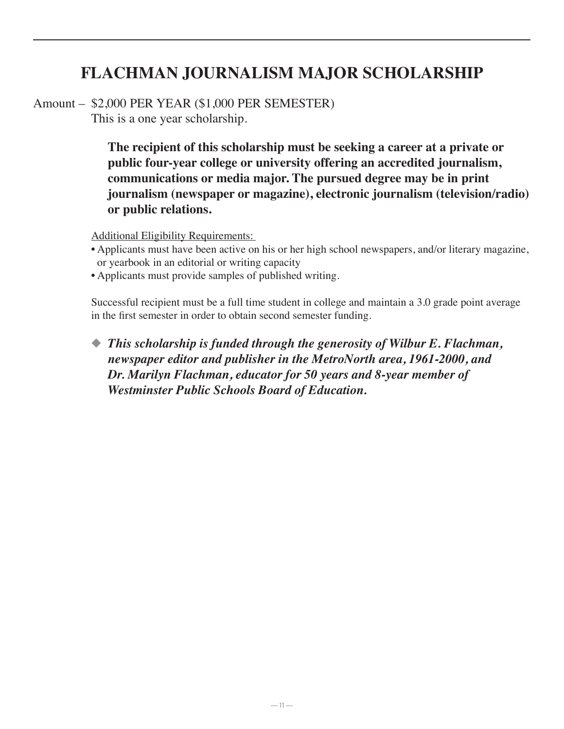# **FLACHMAN JOURNALISM MAJOR SCHOLARSHIP**

Amount – \$2,000 PER YEAR (\$1,000 PER SEMESTER) This is a one year scholarship.

> **The recipient of this scholarship must be seeking a career at a private or public four-year college or university offering an accredited journalism, communications or media major. The pursued degree may be in print journalism (newspaper or magazine), electronic journalism (television/radio) or public relations.**

Additional Eligibility Requirements:

- Applicants must have been active on his or her high school newspapers, and/or literary magazine, or yearbook in an editorial or writing capacity
- Applicants must provide samples of published writing.

Successful recipient must be a full time student in college and maintain a 3.0 grade point average in the first semester in order to obtain second semester funding.

◆ *This scholarship is funded through the generosity of Wilbur E. Flachman, newspaper editor and publisher in the MetroNorth area, 1961-2000, and Dr. Marilyn Flachman, educator for 50 years and 8-year member of Westminster Public Schools Board of Education.*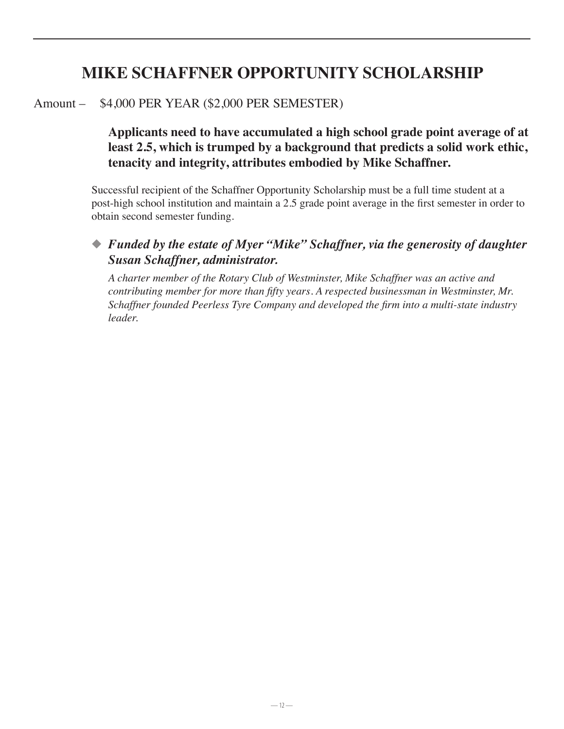## **MIKE SCHAFFNER OPPORTUNITY SCHOLARSHIP**

#### Amount – \$4,000 PER YEAR (\$2,000 PER SEMESTER)

#### **Applicants need to have accumulated a high school grade point average of at least 2.5, which is trumped by a background that predicts a solid work ethic, tenacity and integrity, attributes embodied by Mike Schaffner.**

Successful recipient of the Schaffner Opportunity Scholarship must be a full time student at a post-high school institution and maintain a 2.5 grade point average in the first semester in order to obtain second semester funding.

#### ◆ *Funded by the estate of Myer "Mike" Schaffner, via the generosity of daughter Susan Schaffner, administrator.*

*A charter member of the Rotary Club of Westminster, Mike Schaffner was an active and contributing member for more than fifty years. A respected businessman in Westminster, Mr. Schaffner founded Peerless Tyre Company and developed the firm into a multi-state industry leader.*